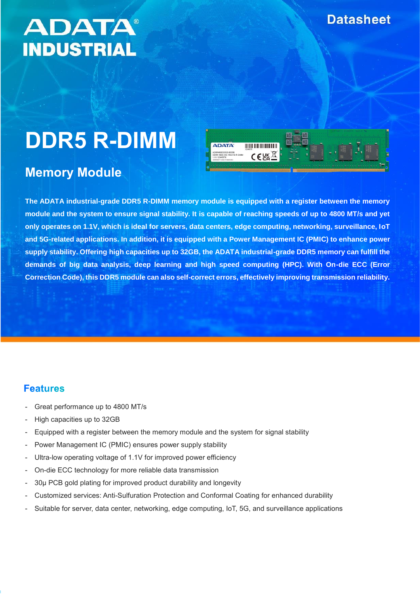## **Datasheet**

## **ADATA® INDUSTRIAL**

# **DDR5 R-DIMM**

## **Memory Module**



**The ADATA industrial-grade DDR5 R-DIMM memory module is equipped with a register between the memory module and the system to ensure signal stability. It is capable of reaching speeds of up to 4800 MT/s and yet only operates on 1.1V, which is ideal for servers, data centers, edge computing, networking, surveillance, IoT and 5G-related applications. In addition, it is equipped with a Power Management IC (PMIC) to enhance power supply stability. Offering high capacities up to 32GB, the ADATA industrial-grade DDR5 memory can fulfill the demands of big data analysis, deep learning and high speed computing (HPC). With On-die ECC (Error Correction Code), this DDR5 module can also self-correct errors, effectively improving transmission reliability.**

#### **Features**

- Great performance up to 4800 MT/s
- High capacities up to 32GB
- Equipped with a register between the memory module and the system for signal stability
- Power Management IC (PMIC) ensures power supply stability
- Ultra-low operating voltage of 1.1V for improved power efficiency
- On-die ECC technology for more reliable data transmission
- 30µ PCB gold plating for improved product durability and longevity
- Customized services: Anti-Sulfuration Protection and Conformal Coating for enhanced durability
- Suitable for server, data center, networking, edge computing, IoT, 5G, and surveillance applications